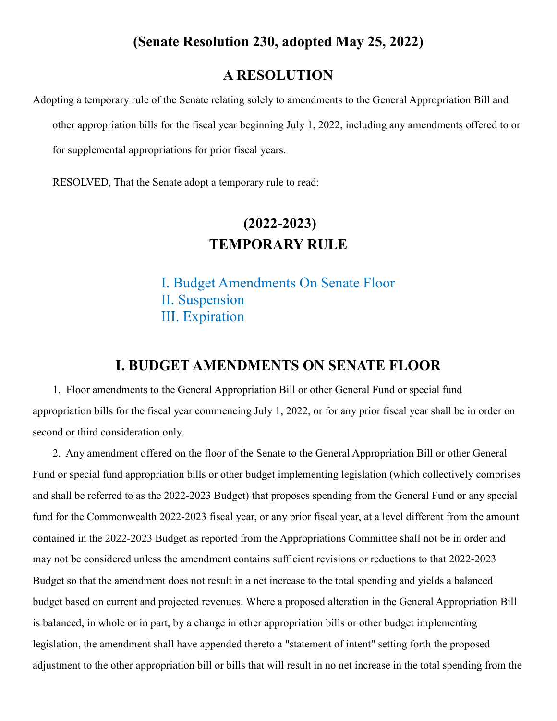## **A RESOLUTION**

Adopting a temporary rule of the Senate relating solely to amendments to the General Appropriation Bill and other appropriation bills for the fiscal year beginning July 1, 2022, including any amendments offered to or for supplemental appropriations for prior fiscal years.

RESOLVED, That the Senate adopt a temporary rule to read:

# **(2022-2023) TEMPORARY RULE**

[I. Budget Amendments On Senate Floor](#page-0-0) [II. Suspension](#page-1-0) [III. Expiration](#page-1-1)

#### **I. BUDGET AMENDMENTS ON SENATE FLOOR**

<span id="page-0-0"></span>1. Floor amendments to the General Appropriation Bill or other General Fund or special fund appropriation bills for the fiscal year commencing July 1, 2022, or for any prior fiscal year shall be in order on second or third consideration only.

2. Any amendment offered on the floor of the Senate to the General Appropriation Bill or other General Fund or special fund appropriation bills or other budget implementing legislation (which collectively comprises and shall be referred to as the 2022-2023 Budget) that proposes spending from the General Fund or any special fund for the Commonwealth 2022-2023 fiscal year, or any prior fiscal year, at a level different from the amount contained in the 2022-2023 Budget as reported from the Appropriations Committee shall not be in order and may not be considered unless the amendment contains sufficient revisions or reductions to that 2022-2023 Budget so that the amendment does not result in a net increase to the total spending and yields a balanced budget based on current and projected revenues. Where a proposed alteration in the General Appropriation Bill is balanced, in whole or in part, by a change in other appropriation bills or other budget implementing legislation, the amendment shall have appended thereto a "statement of intent" setting forth the proposed adjustment to the other appropriation bill or bills that will result in no net increase in the total spending from the